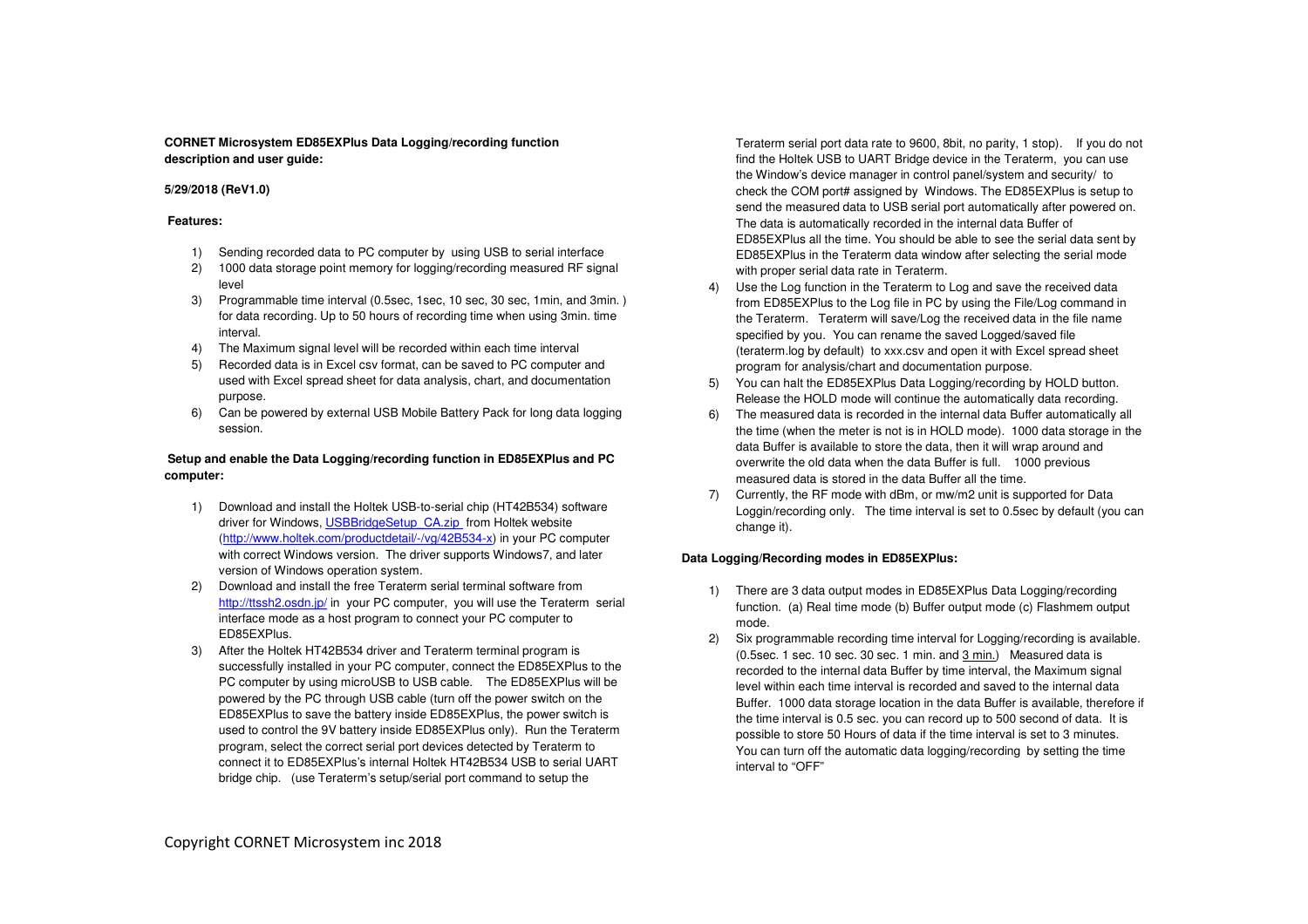## **CORNET Microsystem ED85EXPlus Data Logging/recording function description and user guide:**

## **5/29/2018 (ReV1.0)**

### **Features:**

- 1) Sending recorded data to PC computer by using USB to serial interface
- 2) 1000 data storage point memory for logging/recording measured RF signal level
- 3) Programmable time interval (0.5sec, 1sec, 10 sec, 30 sec, 1min, and 3min. ) for data recording. Up to 50 hours of recording time when using 3min. time interval.
- 4) The Maximum signal level will be recorded within each time interval
- 5) Recorded data is in Excel csv format, can be saved to PC computer and used with Excel spread sheet for data analysis, chart, and documentation purpose.
- 6) Can be powered by external USB Mobile Battery Pack for long data logging session.

# **Setup and enable the Data Logging/recording function in ED85EXPlus and PC computer:**

- 1) Download and install the Holtek USB-to-serial chip (HT42B534) software driver for Windows, USBBridgeSetup, CA.zip from Holtek website (http://www.holtek.com/productdetail/-/vg/42B534-x) in your PC computer with correct Windows version. The driver supports Windows7, and later version of Windows operation system.
- 2) Download and install the free Teraterm serial terminal software from http://ttssh2.osdn.jp/ in your PC computer, you will use the Teraterm serial interface mode as a host program to connect your PC computer to ED85EXPlus.
- 3) After the Holtek HT42B534 driver and Teraterm terminal program is successfully installed in your PC computer, connect the ED85EXPlus to the PC computer by using microUSB to USB cable. The ED85EXPlus will be powered by the PC through USB cable (turn off the power switch on the ED85EXPlus to save the battery inside ED85EXPlus, the power switch is used to control the 9V battery inside ED85EXPlus only). Run the Teraterm program, select the correct serial port devices detected by Teraterm to connect it to ED85EXPlus's internal Holtek HT42B534 USB to serial UART bridge chip. (use Teraterm's setup/serial port command to setup the

Teraterm serial port data rate to 9600, 8bit, no parity, 1 stop). If you do not find the Holtek USB to UART Bridge device in the Teraterm, you can use the Window's device manager in control panel/system and security/ to check the COM port# assigned by Windows. The ED85EXPlus is setup to send the measured data to USB serial port automatically after powered on. The data is automatically recorded in the internal data Buffer of ED85EXPlus all the time. You should be able to see the serial data sent by ED85EXPlus in the Teraterm data window after selecting the serial mode with proper serial data rate in Teraterm.

- 4) Use the Log function in the Teraterm to Log and save the received data from ED85EXPlus to the Log file in PC by using the File/Log command in the Teraterm. Teraterm will save/Log the received data in the file name specified by you. You can rename the saved Logged/saved file (teraterm.log by default) to xxx.csv and open it with Excel spread sheet program for analysis/chart and documentation purpose.
- 5) You can halt the ED85EXPlus Data Logging/recording by HOLD button. Release the HOLD mode will continue the automatically data recording.
- 6) The measured data is recorded in the internal data Buffer automatically all the time (when the meter is not is in HOLD mode). 1000 data storage in the data Buffer is available to store the data, then it will wrap around and overwrite the old data when the data Buffer is full. 1000 previous measured data is stored in the data Buffer all the time.
- 7) Currently, the RF mode with dBm, or mw/m2 unit is supported for Data Loggin/recording only. The time interval is set to 0.5sec by default (you can change it).

## **Data Logging/Recording modes in ED85EXPlus:**

- 1) There are 3 data output modes in ED85EXPlus Data Logging/recording function. (a) Real time mode (b) Buffer output mode (c) Flashmem output mode.
- 2) Six programmable recording time interval for Logging/recording is available. (0.5sec. 1 sec. 10 sec. 30 sec. 1 min. and 3 min.) Measured data is recorded to the internal data Buffer by time interval, the Maximum signal level within each time interval is recorded and saved to the internal data Buffer. 1000 data storage location in the data Buffer is available, therefore if the time interval is 0.5 sec. you can record up to 500 second of data. It is possible to store 50 Hours of data if the time interval is set to 3 minutes. You can turn off the automatic data logging/recording by setting the time interval to "OFF"